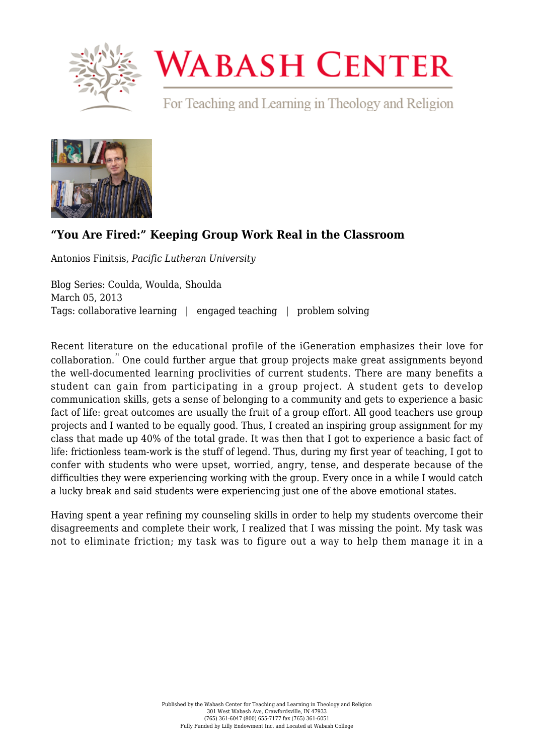

## **WABASH CENTER**

For Teaching and Learning in Theology and Religion



## **["You Are Fired:" Keeping Group Work Real in the Classroom](https://www.wabashcenter.wabash.edu/2013/03/you-are-fired-keeping-group-work-real-in-the-classroom/)**

Antonios Finitsis, *Pacific Lutheran University*

Blog Series: Coulda, Woulda, Shoulda March 05, 2013 Tags: collaborative learning | engaged teaching | problem solving

Recent literature on the educational profile of the iGeneration emphasizes their love for collaboration. " One could further argue that group projects make great assignments beyond the well-documented learning proclivities of current students. There are many benefits a student can gain from participating in a group project. A student gets to develop communication skills, gets a sense of belonging to a community and gets to experience a basic fact of life: great outcomes are usually the fruit of a group effort. All good teachers use group projects and I wanted to be equally good. Thus, I created an inspiring group assignment for my class that made up 40% of the total grade. It was then that I got to experience a basic fact of life: frictionless team-work is the stuff of legend. Thus, during my first year of teaching, I got to confer with students who were upset, worried, angry, tense, and desperate because of the difficulties they were experiencing working with the group. Every once in a while I would catch a lucky break and said students were experiencing just one of the above emotional states.

Having spent a year refining my counseling skills in order to help my students overcome their disagreements and complete their work, I realized that I was missing the point. My task was not to eliminate friction; my task was to figure out a way to help them manage it in a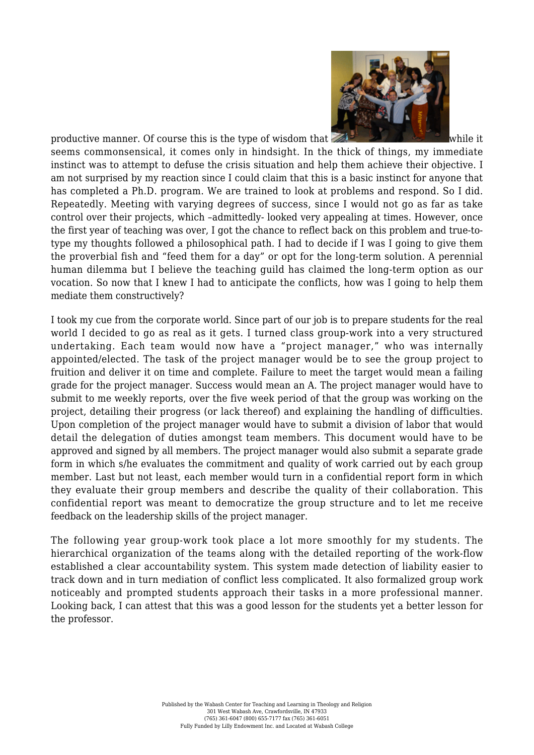

productive manner. Of course this is the type of [w](http://live-wabash.pantheonsite.io/wp-content/uploads/2016/01/6a016301e4b359970d017ee83893d8970d-pi.jpg)isdom that  $\mathbb{R}$ seems commonsensical, it comes only in hindsight. In the thick of things, my immediate instinct was to attempt to defuse the crisis situation and help them achieve their objective. I am not surprised by my reaction since I could claim that this is a basic instinct for anyone that has completed a Ph.D. program. We are trained to look at problems and respond. So I did. Repeatedly. Meeting with varying degrees of success, since I would not go as far as take control over their projects, which –admittedly- looked very appealing at times. However, once the first year of teaching was over, I got the chance to reflect back on this problem and true-totype my thoughts followed a philosophical path. I had to decide if I was I going to give them the proverbial fish and "feed them for a day" or opt for the long-term solution. A perennial human dilemma but I believe the teaching guild has claimed the long-term option as our vocation. So now that I knew I had to anticipate the conflicts, how was I going to help them mediate them constructively?

I took my cue from the corporate world. Since part of our job is to prepare students for the real world I decided to go as real as it gets. I turned class group-work into a very structured undertaking. Each team would now have a "project manager," who was internally appointed/elected. The task of the project manager would be to see the group project to fruition and deliver it on time and complete. Failure to meet the target would mean a failing grade for the project manager. Success would mean an A. The project manager would have to submit to me weekly reports, over the five week period of that the group was working on the project, detailing their progress (or lack thereof) and explaining the handling of difficulties. Upon completion of the project manager would have to submit a division of labor that would detail the delegation of duties amongst team members. This document would have to be approved and signed by all members. The project manager would also submit a separate grade form in which s/he evaluates the commitment and quality of work carried out by each group member. Last but not least, each member would turn in a confidential report form in which they evaluate their group members and describe the quality of their collaboration. This confidential report was meant to democratize the group structure and to let me receive feedback on the leadership skills of the project manager.

The following year group-work took place a lot more smoothly for my students. The hierarchical organization of the teams along with the detailed reporting of the work-flow established a clear accountability system. This system made detection of liability easier to track down and in turn mediation of conflict less complicated. It also formalized group work noticeably and prompted students approach their tasks in a more professional manner. Looking back, I can attest that this was a good lesson for the students yet a better lesson for the professor.